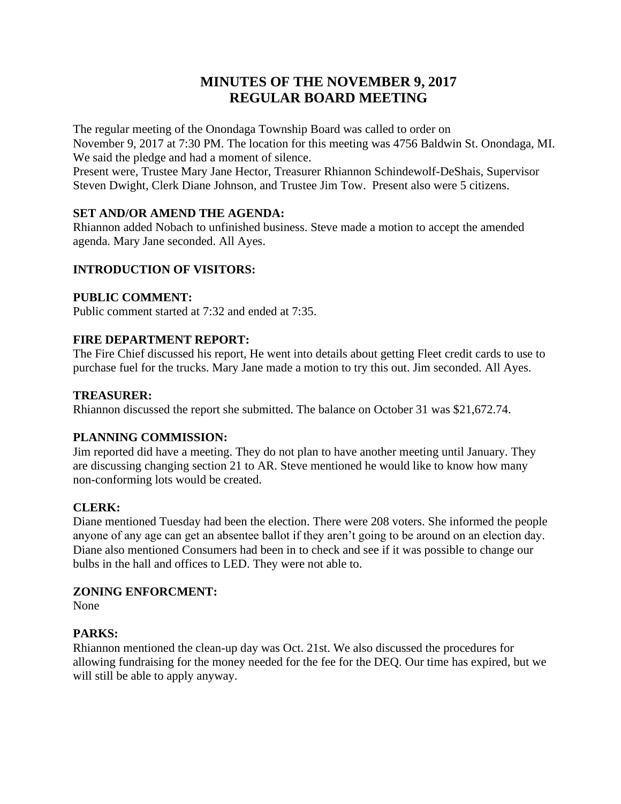# **MINUTES OF THE NOVEMBER 9, 2017 REGULAR BOARD MEETING**

The regular meeting of the Onondaga Township Board was called to order on November 9, 2017 at 7:30 PM. The location for this meeting was 4756 Baldwin St. Onondaga, MI. We said the pledge and had a moment of silence.

Present were, Trustee Mary Jane Hector, Treasurer Rhiannon Schindewolf-DeShais, Supervisor Steven Dwight, Clerk Diane Johnson, and Trustee Jim Tow. Present also were 5 citizens.

# **SET AND/OR AMEND THE AGENDA:**

Rhiannon added Nobach to unfinished business. Steve made a motion to accept the amended agenda. Mary Jane seconded. All Ayes.

# **INTRODUCTION OF VISITORS:**

# **PUBLIC COMMENT:**

Public comment started at 7:32 and ended at 7:35.

# **FIRE DEPARTMENT REPORT:**

The Fire Chief discussed his report, He went into details about getting Fleet credit cards to use to purchase fuel for the trucks. Mary Jane made a motion to try this out. Jim seconded. All Ayes.

## **TREASURER:**

Rhiannon discussed the report she submitted. The balance on October 31 was \$21,672.74.

# **PLANNING COMMISSION:**

Jim reported did have a meeting. They do not plan to have another meeting until January. They are discussing changing section 21 to AR. Steve mentioned he would like to know how many non-conforming lots would be created.

# **CLERK:**

Diane mentioned Tuesday had been the election. There were 208 voters. She informed the people anyone of any age can get an absentee ballot if they aren't going to be around on an election day. Diane also mentioned Consumers had been in to check and see if it was possible to change our bulbs in the hall and offices to LED. They were not able to.

# **ZONING ENFORCMENT:**

None

# **PARKS:**

Rhiannon mentioned the clean-up day was Oct. 21st. We also discussed the procedures for allowing fundraising for the money needed for the fee for the DEQ. Our time has expired, but we will still be able to apply anyway.